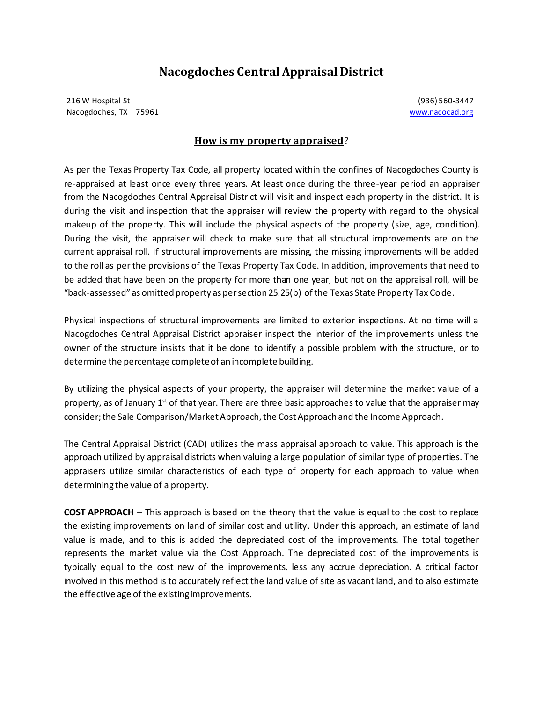## **Nacogdoches Central Appraisal District**

216 W Hospital St (936) 560-3447 Nacogdoches, TX 75961 www.nacocad.org

## **How is my property appraised**?

As per the Texas Property Tax Code, all property located within the confines of Nacogdoches County is re-appraised at least once every three years. At least once during the three-year period an appraiser from the Nacogdoches Central Appraisal District will visit and inspect each property in the district. It is during the visit and inspection that the appraiser will review the property with regard to the physical makeup of the property. This will include the physical aspects of the property (size, age, condition). During the visit, the appraiser will check to make sure that all structural improvements are on the current appraisal roll. If structural improvements are missing, the missing improvements will be added to the roll as per the provisions of the Texas Property Tax Code. In addition, improvements that need to be added that have been on the property for more than one year, but not on the appraisal roll, will be "back-assessed" as omitted property as per section 25.25(b) of the Texas State Property Tax Code.

Physical inspections of structural improvements are limited to exterior inspections. At no time will a Nacogdoches Central Appraisal District appraiser inspect the interior of the improvements unless the owner of the structure insists that it be done to identify a possible problem with the structure, or to determine the percentage complete of an incomplete building.

By utilizing the physical aspects of your property, the appraiser will determine the market value of a property, as of January  $1<sup>st</sup>$  of that year. There are three basic approaches to value that the appraiser may consider; the Sale Comparison/Market Approach, the Cost Approach and the Income Approach.

The Central Appraisal District (CAD) utilizes the mass appraisal approach to value. This approach is the approach utilized by appraisal districts when valuing a large population of similar type of properties. The appraisers utilize similar characteristics of each type of property for each approach to value when determining the value of a property.

**COST APPROACH** – This approach is based on the theory that the value is equal to the cost to replace the existing improvements on land of similar cost and utility. Under this approach, an estimate of land value is made, and to this is added the depreciated cost of the improvements. The total together represents the market value via the Cost Approach. The depreciated cost of the improvements is typically equal to the cost new of the improvements, less any accrue depreciation. A critical factor involved in this method is to accurately reflect the land value of site as vacant land, and to also estimate the effective age of the existingimprovements.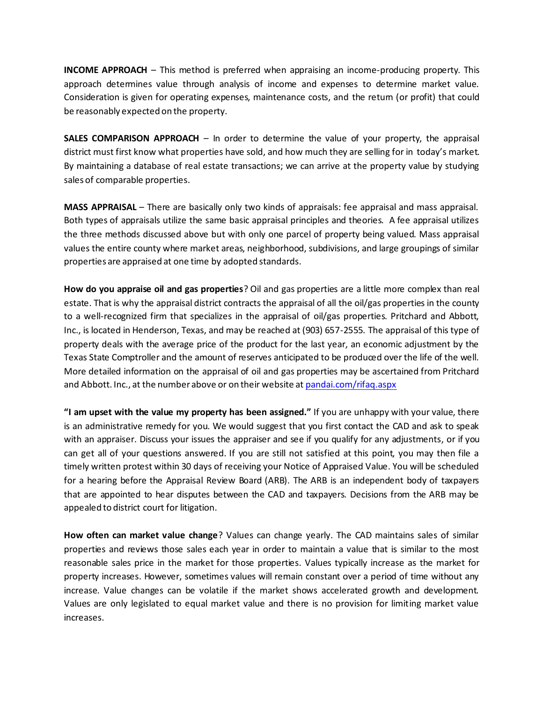**INCOME APPROACH** – This method is preferred when appraising an income-producing property. This approach determines value through analysis of income and expenses to determine market value. Consideration is given for operating expenses, maintenance costs, and the retum (or profit) that could be reasonably expected on the property.

**SALES COMPARISON APPROACH** – In order to determine the value of your property, the appraisal district must first know what properties have sold, and how much they are selling for in today's market. By maintaining a database of real estate transactions; we can arrive at the property value by studying sales of comparable properties.

**MASS APPRAISAL** – There are basically only two kinds of appraisals: fee appraisal and mass appraisal. Both types of appraisals utilize the same basic appraisal principles and theories. A fee appraisal utilizes the three methods discussed above but with only one parcel of property being valued. Mass appraisal values the entire county where market areas, neighborhood, subdivisions, and large groupings of similar properties are appraised at one time by adopted standards.

**How do you appraise oil and gas properties**? Oil and gas properties are a little more complex than real estate. That is why the appraisal district contracts the appraisal of all the oil/gas properties in the county to a well-recognized firm that specializes in the appraisal of oil/gas properties. Pritchard and Abbott, Inc., is located in Henderson, Texas, and may be reached at (903) 657-2555. The appraisal of this type of property deals with the average price of the product for the last year, an economic adjustment by the Texas State Comptroller and the amount of reserves anticipated to be produced over the life of the well. More detailed information on the appraisal of oil and gas properties may be ascertained from Pritchard and Abbott. Inc., at the number above or on their website at pandai.com/rifaq.aspx

**"I am upset with the value my property has been assigned."** If you are unhappy with your value, there is an administrative remedy for you. We would suggest that you first contact the CAD and ask to speak with an appraiser. Discuss your issues the appraiser and see if you qualify for any adjustments, or if you can get all of your questions answered. If you are still not satisfied at this point, you may then file a timely written protest within 30 days of receiving your Notice of Appraised Value. You will be scheduled for a hearing before the Appraisal Review Board (ARB). The ARB is an independent body of taxpayers that are appointed to hear disputes between the CAD and taxpayers. Decisions from the ARB may be appealed to district court for litigation.

**How often can market value change**? Values can change yearly. The CAD maintains sales of similar properties and reviews those sales each year in order to maintain a value that is similar to the most reasonable sales price in the market for those properties. Values typically increase as the market for property increases. However, sometimes values will remain constant over a period of time without any increase. Value changes can be volatile if the market shows accelerated growth and development. Values are only legislated to equal market value and there is no provision for limiting market value increases.